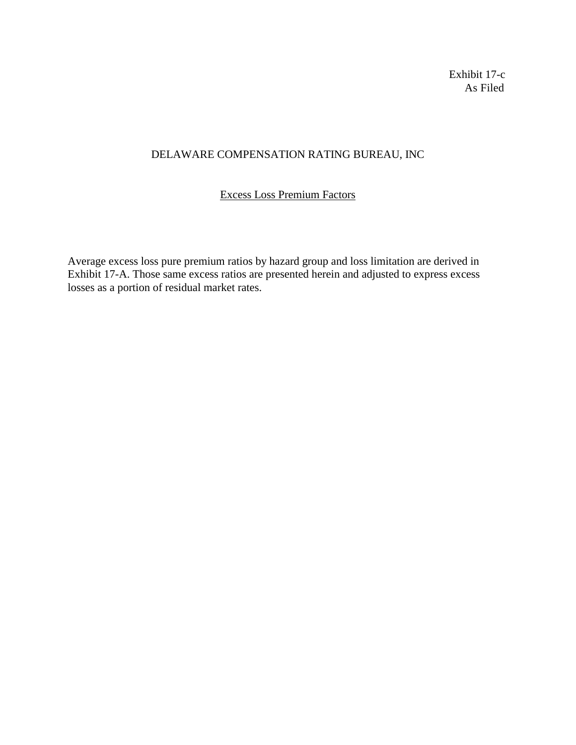Exhibit 17-c As Filed

## DELAWARE COMPENSATION RATING BUREAU, INC

Excess Loss Premium Factors

Average excess loss pure premium ratios by hazard group and loss limitation are derived in Exhibit 17-A. Those same excess ratios are presented herein and adjusted to express excess losses as a portion of residual market rates.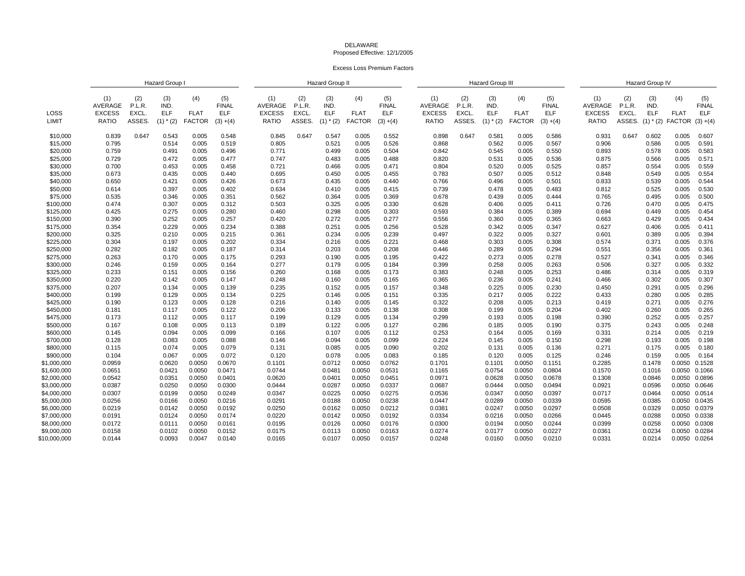## DELAWAREProposed Effective: 12/1/2005

Excess Loss Premium Factors

|              |                                 |                        | Hazard Group              |                    |                                   | Hazard Group II                 |                        |                    |                    |                                   | Hazard Group III                       |                        |                           |                    |                                   | Hazard Group IV                 |                        |                           |                    |                            |
|--------------|---------------------------------|------------------------|---------------------------|--------------------|-----------------------------------|---------------------------------|------------------------|--------------------|--------------------|-----------------------------------|----------------------------------------|------------------------|---------------------------|--------------------|-----------------------------------|---------------------------------|------------------------|---------------------------|--------------------|----------------------------|
| LOSS         | (1)<br>AVERAGE<br><b>EXCESS</b> | (2)<br>P.L.R.<br>EXCL. | (3)<br>IND.<br><b>ELF</b> | (4)<br><b>FLAT</b> | (5)<br><b>FINAL</b><br><b>ELF</b> | (1)<br>AVERAGE<br><b>EXCESS</b> | (2)<br>P.L.R.<br>EXCL. | (3)<br>IND.<br>ELF | (4)<br><b>FLAT</b> | (5)<br><b>FINAL</b><br><b>ELF</b> | (1)<br><b>AVERAGE</b><br><b>EXCESS</b> | (2)<br>P.L.R.<br>EXCL. | (3)<br>IND.<br><b>ELF</b> | (4)<br><b>FLAT</b> | (5)<br><b>FINAL</b><br><b>ELF</b> | (1)<br>AVERAGE<br><b>EXCESS</b> | (2)<br>P.L.R.<br>EXCL. | (3)<br>IND.<br><b>ELF</b> | (4)<br><b>FLAT</b> | (5)<br><b>FINAL</b><br>ELF |
| LIMIT        | <b>RATIO</b>                    | ASSES.                 | $(1)$ * $(2)$             | <b>FACTOR</b>      | $(3) + (4)$                       | <b>RATIO</b>                    | ASSES.                 | $(1)$ * $(2)$      | <b>FACTOR</b>      | $(3) + (4)$                       | RATIO                                  | ASSES.                 | $(1)$ * $(2)$             | <b>FACTOR</b>      | $(3) + (4)$                       | <b>RATIO</b>                    | ASSES.                 | $(1)$ * $(2)$             | <b>FACTOR</b>      | $(3) + (4)$                |
| \$10,000     | 0.839                           | 0.647                  | 0.543                     | 0.005              | 0.548                             | 0.845                           | 0.647                  | 0.547              | 0.005              | 0.552                             | 0.898                                  | 0.647                  | 0.581                     | 0.005              | 0.586                             | 0.931                           | 0.647                  | 0.602                     | 0.005              | 0.607                      |
| \$15,000     | 0.795                           |                        | 0.514                     | 0.005              | 0.519                             | 0.805                           |                        | 0.521              | 0.005              | 0.526                             | 0.868                                  |                        | 0.562                     | 0.005              | 0.567                             | 0.906                           |                        | 0.586                     | 0.005              | 0.591                      |
| \$20,000     | 0.759                           |                        | 0.491                     | 0.005              | 0.496                             | 0.771                           |                        | 0.499              | 0.005              | 0.504                             | 0.842                                  |                        | 0.545                     | 0.005              | 0.550                             | 0.893                           |                        | 0.578                     | 0.005              | 0.583                      |
| \$25,000     | 0.729                           |                        | 0.472                     | 0.005              | 0.477                             | 0.747                           |                        | 0.483              | 0.005              | 0.488                             | 0.820                                  |                        | 0.531                     | 0.005              | 0.536                             | 0.875                           |                        | 0.566                     | 0.005              | 0.571                      |
| \$30,000     | 0.700                           |                        | 0.453                     | 0.005              | 0.458                             | 0.721                           |                        | 0.466              | 0.005              | 0.471                             | 0.804                                  |                        | 0.520                     | 0.005              | 0.525                             | 0.857                           |                        | 0.554                     | 0.005              | 0.559                      |
| \$35,000     | 0.673                           |                        | 0.435                     | 0.005              | 0.440                             | 0.695                           |                        | 0.450              | 0.005              | 0.455                             | 0.783                                  |                        | 0.507                     | 0.005              | 0.512                             | 0.848                           |                        | 0.549                     | 0.005              | 0.554                      |
| \$40,000     | 0.650                           |                        | 0.421                     | 0.005              | 0.426                             | 0.673                           |                        | 0.435              | 0.005              | 0.440                             | 0.766                                  |                        | 0.496                     | 0.005              | 0.501                             | 0.833                           |                        | 0.539                     | 0.005              | 0.544                      |
| \$50,000     | 0.614                           |                        | 0.397                     | 0.005              | 0.402                             | 0.634                           |                        | 0.410              | 0.005              | 0.415                             | 0.739                                  |                        | 0.478                     | 0.005              | 0.483                             | 0.812                           |                        | 0.525                     | 0.005              | 0.530                      |
| \$75,000     | 0.535                           |                        | 0.346                     | 0.005              | 0.351                             | 0.562                           |                        | 0.364              | 0.005              | 0.369                             | 0.678                                  |                        | 0.439                     | 0.005              | 0.444                             | 0.765                           |                        | 0.495                     | 0.005              | 0.500                      |
| \$100,000    | 0.474                           |                        | 0.307                     | 0.005              | 0.312                             | 0.503                           |                        | 0.325              | 0.005              | 0.330                             | 0.628                                  |                        | 0.406                     | 0.005              | 0.411                             | 0.726                           |                        | 0.470                     | 0.005              | 0.475                      |
| \$125,000    | 0.425                           |                        | 0.275                     | 0.005              | 0.280                             | 0.460                           |                        | 0.298              | 0.005              | 0.303                             | 0.593                                  |                        | 0.384                     | 0.005              | 0.389                             | 0.694                           |                        | 0.449                     | 0.005              | 0.454                      |
| \$150,000    | 0.390                           |                        | 0.252                     | 0.005              | 0.257                             | 0.420                           |                        | 0.272              | 0.005              | 0.277                             | 0.556                                  |                        | 0.360                     | 0.005              | 0.365                             | 0.663                           |                        | 0.429                     | 0.005              | 0.434                      |
| \$175,000    | 0.354                           |                        | 0.229                     | 0.005              | 0.234                             | 0.388                           |                        | 0.251              | 0.005              | 0.256                             | 0.528                                  |                        | 0.342                     | 0.005              | 0.347                             | 0.627                           |                        | 0.406                     | 0.005              | 0.411                      |
| \$200,000    | 0.325                           |                        | 0.210                     | 0.005              | 0.215                             | 0.361                           |                        | 0.234              | 0.005              | 0.239                             | 0.497                                  |                        | 0.322                     | 0.005              | 0.327                             | 0.601                           |                        | 0.389                     | 0.005              | 0.394                      |
| \$225,000    | 0.304                           |                        | 0.197                     | 0.005              | 0.202                             | 0.334                           |                        | 0.216              | 0.005              | 0.221                             | 0.468                                  |                        | 0.303                     | 0.005              | 0.308                             | 0.574                           |                        | 0.371                     | 0.005              | 0.376                      |
| \$250,000    | 0.282                           |                        | 0.182                     | 0.005              | 0.187                             | 0.314                           |                        | 0.203              | 0.005              | 0.208                             | 0.446                                  |                        | 0.289                     | 0.005              | 0.294                             | 0.551                           |                        | 0.356                     | 0.005              | 0.361                      |
| \$275,000    | 0.263                           |                        | 0.170                     | 0.005              | 0.175                             | 0.293                           |                        | 0.190              | 0.005              | 0.195                             | 0.422                                  |                        | 0.273                     | 0.005              | 0.278                             | 0.527                           |                        | 0.341                     | 0.005              | 0.346                      |
| \$300,000    | 0.246                           |                        | 0.159                     | 0.005              | 0.164                             | 0.277                           |                        | 0.179              | 0.005              | 0.184                             | 0.399                                  |                        | 0.258                     | 0.005              | 0.263                             | 0.506                           |                        | 0.327                     | 0.005              | 0.332                      |
| \$325,000    | 0.233                           |                        | 0.151                     | 0.005              | 0.156                             | 0.260                           |                        | 0.168              | 0.005              | 0.173                             | 0.383                                  |                        | 0.248                     | 0.005              | 0.253                             | 0.486                           |                        | 0.314                     | 0.005              | 0.319                      |
| \$350,000    | 0.220                           |                        | 0.142                     | 0.005              | 0.147                             | 0.248                           |                        | 0.160              | 0.005              | 0.165                             | 0.365                                  |                        | 0.236                     | 0.005              | 0.241                             | 0.466                           |                        | 0.302                     | 0.005              | 0.307                      |
| \$375,000    | 0.207                           |                        | 0.134                     | 0.005              | 0.139                             | 0.235                           |                        | 0.152              | 0.005              | 0.157                             | 0.348                                  |                        | 0.225                     | 0.005              | 0.230                             | 0.450                           |                        | 0.291                     | 0.005              | 0.296                      |
| \$400,000    | 0.199                           |                        | 0.129                     | 0.005              | 0.134                             | 0.225                           |                        | 0.146              | 0.005              | 0.151                             | 0.335                                  |                        | 0.217                     | 0.005              | 0.222                             | 0.433                           |                        | 0.280                     | 0.005              | 0.285                      |
| \$425,000    | 0.190                           |                        | 0.123                     | 0.005              | 0.128                             | 0.216                           |                        | 0.140              | 0.005              | 0.145                             | 0.322                                  |                        | 0.208                     | 0.005              | 0.213                             | 0.419                           |                        | 0.271                     | 0.005              | 0.276                      |
| \$450,000    | 0.181                           |                        | 0.117                     | 0.005              | 0.122                             | 0.206                           |                        | 0.133              | 0.005              | 0.138                             | 0.308                                  |                        | 0.199                     | 0.005              | 0.204                             | 0.402                           |                        | 0.260                     | 0.005              | 0.265                      |
| \$475,000    | 0.173                           |                        | 0.112                     | 0.005              | 0.117                             | 0.199                           |                        | 0.129              | 0.005              | 0.134                             | 0.299                                  |                        | 0.193                     | 0.005              | 0.198                             | 0.390                           |                        | 0.252                     | 0.005              | 0.257                      |
| \$500,000    | 0.167                           |                        | 0.108                     | 0.005              | 0.113                             | 0.189                           |                        | 0.122              | 0.005              | 0.127                             | 0.286                                  |                        | 0.185                     | 0.005              | 0.190                             | 0.375                           |                        | 0.243                     | 0.005              | 0.248                      |
| \$600,000    | 0.145                           |                        | 0.094                     | 0.005              | 0.099                             | 0.166                           |                        | 0.107              | 0.005              | 0.112                             | 0.253                                  |                        | 0.164                     | 0.005              | 0.169                             | 0.331                           |                        | 0.214                     | 0.005              | 0.219                      |
| \$700,000    | 0.128                           |                        | 0.083                     | 0.005              | 0.088                             | 0.146                           |                        | 0.094              | 0.005              | 0.099                             | 0.224                                  |                        | 0.145                     | 0.005              | 0.150                             | 0.298                           |                        | 0.193                     | 0.005              | 0.198                      |
| \$800,000    | 0.115                           |                        | 0.074                     | 0.005              | 0.079                             | 0.131                           |                        | 0.085              | 0.005              | 0.090                             | 0.202                                  |                        | 0.131                     | 0.005              | 0.136                             | 0.271                           |                        | 0.175                     | 0.005              | 0.180                      |
| \$900,000    | 0.104                           |                        | 0.067                     | 0.005              | 0.072                             | 0.120                           |                        | 0.078              | 0.005              | 0.083                             | 0.185                                  |                        | 0.120                     | 0.005              | 0.125                             | 0.246                           |                        | 0.159                     | 0.005              | 0.164                      |
| \$1,000,000  | 0.0959                          |                        | 0.0620                    | 0.0050             | 0.0670                            | 0.1101                          |                        | 0.0712             | 0.0050             | 0.0762                            | 0.1701                                 |                        | 0.1101                    | 0.0050             | 0.1151                            | 0.2285                          |                        | 0.1478                    | 0.0050             | 0.1528                     |
| \$1,600,000  | 0.0651                          |                        | 0.0421                    | 0.0050             | 0.0471                            | 0.0744                          |                        | 0.0481             | 0.0050             | 0.0531                            | 0.1165                                 |                        | 0.0754                    | 0.0050             | 0.0804                            | 0.1570                          |                        | 0.1016                    | 0.0050             | 0.1066                     |
| \$2,000,000  | 0.0542                          |                        | 0.0351                    | 0.0050             | 0.0401                            | 0.0620                          |                        | 0.0401             | 0.0050             | 0.0451                            | 0.0971                                 |                        | 0.0628                    | 0.0050             | 0.0678                            | 0.1308                          |                        | 0.0846                    | 0.0050             | 0.0896                     |
| \$3,000,000  | 0.0387                          |                        | 0.0250                    | 0.0050             | 0.0300                            | 0.0444                          |                        | 0.0287             | 0.0050             | 0.0337                            | 0.0687                                 |                        | 0.0444                    | 0.0050             | 0.0494                            | 0.0921                          |                        | 0.0596                    | 0.0050             | 0.0646                     |
| \$4,000,000  | 0.0307                          |                        | 0.0199                    | 0.0050             | 0.0249                            | 0.0347                          |                        | 0.0225             | 0.0050             | 0.0275                            | 0.0536                                 |                        | 0.0347                    | 0.0050             | 0.0397                            | 0.0717                          |                        | 0.0464                    | 0.0050             | 0.0514                     |
| \$5,000,000  | 0.0256                          |                        | 0.0166                    | 0.0050             | 0.0216                            | 0.0291                          |                        | 0.0188             | 0.0050             | 0.0238                            | 0.0447                                 |                        | 0.0289                    | 0.0050             | 0.0339                            | 0.0595                          |                        | 0.0385                    | 0.0050             | 0.0435                     |
| \$6,000,000  | 0.0219                          |                        | 0.0142                    | 0.0050             | 0.0192                            | 0.0250                          |                        | 0.0162             | 0.0050             | 0.0212                            | 0.0381                                 |                        | 0.0247                    | 0.0050             | 0.0297                            | 0.0508                          |                        | 0.0329                    | 0.0050             | 0.0379                     |
| \$7,000,000  | 0.0191                          |                        | 0.0124                    | 0.0050             | 0.0174                            | 0.0220                          |                        | 0.0142             | 0.0050             | 0.0192                            | 0.0334                                 |                        | 0.0216                    | 0.0050             | 0.0266                            | 0.0445                          |                        | 0.0288                    | 0.0050             | 0.0338                     |
| \$8,000,000  | 0.0172                          |                        | 0.0111                    | 0.0050             | 0.0161                            | 0.0195                          |                        | 0.0126             | 0.0050             | 0.0176                            | 0.0300                                 |                        | 0.0194                    | 0.0050             | 0.0244                            | 0.0399                          |                        | 0.0258                    | 0.0050             | 0.0308                     |
| \$9,000,000  | 0.0158                          |                        | 0.0102                    | 0.0050             | 0.0152                            | 0.0175                          |                        | 0.0113             | 0.0050             | 0.0163                            | 0.0274                                 |                        | 0.0177                    | 0.0050             | 0.0227                            | 0.0361                          |                        | 0.0234                    | 0.0050             | 0.0284                     |
| \$10,000,000 | 0.0144                          |                        | 0.0093                    | 0.0047             | 0.0140                            | 0.0165                          |                        | 0.0107             | 0.0050             | 0.0157                            | 0.0248                                 |                        | 0.0160                    | 0.0050             | 0.0210                            | 0.0331                          |                        | 0.0214                    | 0.0050             | 0.0264                     |